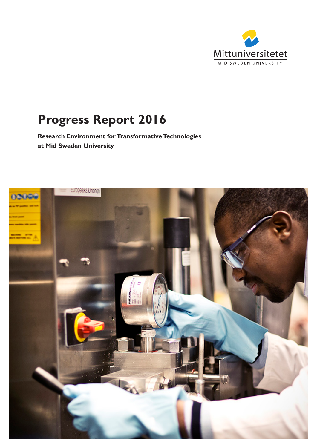

# **Progress Report 2016**

**Research Environment for Transformative Technologies at Mid Sweden University**

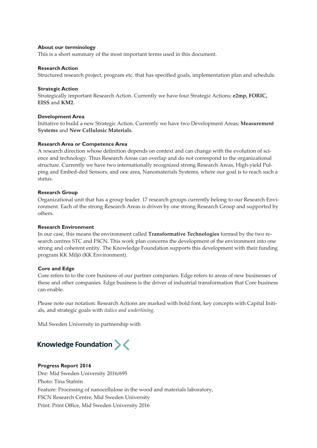#### **About our terminology**

This is a short summary of the most important terms used in this document.

#### **Research Action**

Structured research project, program etc. that has specified goals, implementation plan and schedule.

#### **Strategic Action**

Strategically important Research Action. Currently we have four Strategic Actions; **e2mp, FORIC, EISS** and **KM2**.

#### **Development Area**

Initiative to build a new Strategic Action. Currently we have two Development Areas; **Measurement Systems** and **New Cellulosic Materials**.

#### **Research Area or Competence Area**

A research direction whose definition depends on context and can change with the evolution of science and technology. Thus Research Areas can overlap and do not correspond to the organizational structure. Currently we have two internationally recognized strong Research Areas, High-yield Pulping and Embed-ded Sensors, and one area, Nanomaterials Systems, where our goal is to reach such a status.

#### **Research Group**

Organizational unit that has a group leader. 17 research groups currently belong to our Research Environment. Each of the strong Research Areas is driven by one strong Research Group and supported by others.

#### **Research Environment**

In our case, this means the environment called **Transformative Technologies** formed by the two research centres STC and FSCN. This work plan concerns the development of the environment into one strong and coherent entity. The Knowledge Foundation supports this development with their funding program KK Miljö (KK Environment).

### **Core and Edge**

Core refers to to the core business of our partner companies. Edge refers to areas of new businesses of these and other companies. Edge business is the driver of industrial transformation that Core business can enable.

Please note our notation: Research Actions are marked with bold font, key concepts with Capital Initials, and strategic goals with *italics and underlining*.

Mid Sweden University in partnership with

## Knowledge Foundation ><

### **Progress Report 2016**

Dnr: Mid Sweden University 2016/695 Photo: Tina Stafrén Feature: Processing of nanocellulose in the wood and materials laboratory, FSCN Research Centre, Mid Sweden University Print: Print Office, Mid Sweden University 2016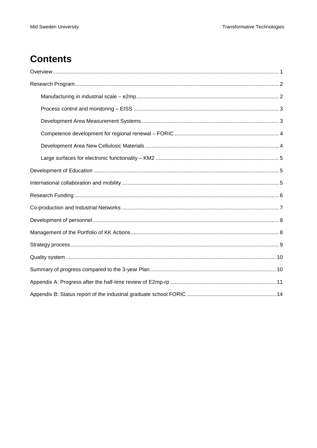## **Contents**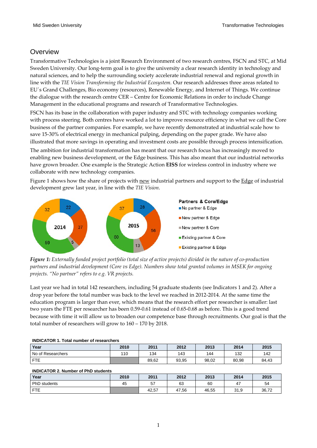### <span id="page-4-0"></span>**Overview**

Transformative Technologies is a joint Research Environment of two research centres, FSCN and STC, at Mid Sweden University. Our long-term goal is to give the university a clear research identity in technology and natural sciences, and to help the surrounding society accelerate industrial renewal and regional growth in line with the *TIE Vision Transforming the Industrial Ecosystem.* Our research addresses three areas related to EU´s Grand Challenges, Bio economy (resources), Renewable Energy, and Internet of Things. We continue the dialogue with the research centre CER – Centre for Economic Relations in order to include Change Management in the educational programs and research of Transformative Technologies.

FSCN has its base in the collaboration with paper industry and STC with technology companies working with process steering. Both centres have worked a lot to improve resource efficiency in what we call the Core business of the partner companies. For example, we have recently demonstrated at industrial scale how to save 15-30% of electrical energy in mechanical pulping, depending on the paper grade. We have also illustrated that more savings in operating and investment costs are possible through process intensification.

The ambition for industrial transformation has meant that our research focus has increasingly moved to enabling new business development, or the Edge business. This has also meant that our industrial networks have grown broader. One example is the Strategic Action **EISS** for wireless control in industry where we collaborate with new technology companies.

Figure 1 shows how the share of projects with new industrial partners and support to the Edge of industrial development grew last year, in line with the *TIE Vision*.



*Figure 1: Externally funded project portfolio (total size of active projects) divided in the nature of co-production partners and industrial development (Core vs Edge). Numbers show total granted volumes in MSEK for ongoing projects. "No partner" refers to e.g. VR projects.*

Last year we had in total 142 researchers, including 54 graduate students (see Indicators 1 and 2). After a drop year before the total number was back to the level we reached in 2012-2014. At the same time the education program is larger than ever, which means that the research effort per researcher is smaller: last two years the FTE per researcher has been 0.59-0.61 instead of 0.65-0.68 as before. This is a good trend because with time it will allow us to broaden our competence base through recruitments. Our goal is that the total number of researchers will grow to 160 – 170 by 2018.

|  | <b>INDICATOR 1. Total number of researchers</b> |
|--|-------------------------------------------------|
|  |                                                 |

| Year              | 2010 | 2011  | 2012  | 2013  | 2014  | 2015  |
|-------------------|------|-------|-------|-------|-------|-------|
| No of Researchers | 110  | 134   | 143   | 144   | 132   | 142   |
| <b>FTE</b>        |      | 89,62 | 93,95 | 98,02 | 80,98 | 84,43 |

### **INDICATOR 2. Number of PhD students**

| Year         | 2010 | 2011  | 2012  | 2013<br>2014 |                                  | 2015  |  |
|--------------|------|-------|-------|--------------|----------------------------------|-------|--|
| PhD students | 45   | 57    | 63    | 60           | $\overline{a}$<br>4 <sub>l</sub> | 54    |  |
| <b>FTE</b>   |      | 42,57 | 47,56 | 46,55        | 31,9                             | 36,72 |  |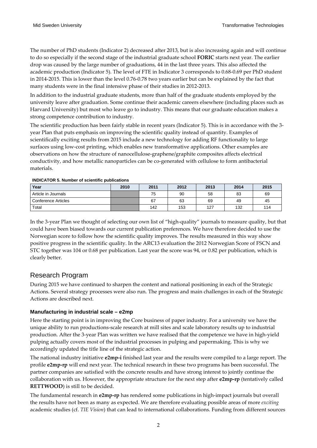The number of PhD students (Indicator 2) decreased after 2013, but is also increasing again and will continue to do so especially if the second stage of the industrial graduate school **FORIC** starts next year. The earlier drop was caused by the large number of graduations, 44 in the last three years. This also affected the academic production (Indicator 5). The level of FTE in Indicator 3 corresponds to 0.68-0.69 per PhD student in 2014-2015. This is lower than the level 0.76-0.78 two years earlier but can be explained by the fact that many students were in the final intensive phase of their studies in 2012-2013.

In addition to the industrial graduate students, more than half of the graduate students employed by the university leave after graduation. Some continue their academic careers elsewhere (including places such as Harvard University) but most who leave go to industry. This means that our graduate education makes a strong competence contribution to industry.

The scientific production has been fairly stable in recent years (Indicator 5). This is in accordance with the 3 year Plan that puts emphasis on improving the scientific quality instead of quantity. Examples of scientifically exciting results from 2015 include a new technology for adding RF functionality to large surfaces using low-cost printing, which enables new transformative applications. Other examples are observations on how the structure of nanocellulose-graphene/graphite composites affects electrical conductivity, and how metallic nanoparticles can be co-generated with cellulose to form antibacterial materials.

| Year                       | 2010 | 2012<br>2011<br>2013 |     | 2014 | 2015 |     |
|----------------------------|------|----------------------|-----|------|------|-----|
| Article in Journals        |      | 75                   | 90  | 58   | 83   | 69  |
| <b>Conference Articles</b> |      | 67                   | 63  | 69   | 49   | 45  |
| Total                      |      | 142                  | 153 | 127  | 132  | 114 |

**INDICATOR 5. Number of scientific publications**

In the 3-year Plan we thought of selecting our own list of "high-quality" journals to measure quality, but that could have been biased towards our current publication preferences. We have therefore decided to use the Norwegian score to follow how the scientific quality improves. The results measured in this way show positive progress in the scientific quality. In the ARC13 evaluation the 2012 Norwegian Score of FSCN and STC together was 104 or 0.68 per publication. Last year the score was 94, or 0.82 per publication, which is clearly better.

### <span id="page-5-0"></span>Research Program

During 2015 we have continued to sharpen the content and national positioning in each of the Strategic Actions. Several strategy processes were also run. The progress and main challenges in each of the Strategic Actions are described next.

### <span id="page-5-1"></span>**Manufacturing in industrial scale – e2mp**

Here the starting point is in improving the Core business of paper industry. For a university we have the unique ability to run productions-scale research at mill sites and scale laboratory results up to industrial production. After the 3-year Plan was written we have realised that the competence we have in high-yield pulping actually covers most of the industrial processes in pulping and papermaking. This is why we accordingly updated the title line of the strategic action.

The national industry initiative **e2mp-i** finished last year and the results were compiled to a large report. The profile **e2mp-rp** will end next year. The technical research in these two programs has been successful. The partner companies are satisfied with the concrete results and have strong interest to jointly continue the collaboration with us. However, the appropriate structure for the next step after **e2mp-rp** (tentatively called **RETTWOOD**) is still to be decided.

The fundamental research in **e2mp-rp** has rendered some publications in high-impact journals but overall the results have not been as many as expected. We are therefore evaluating possible areas of more *exciting*  academic studies (cf. *TIE Vision*) that can lead to international collaborations. Funding from different sources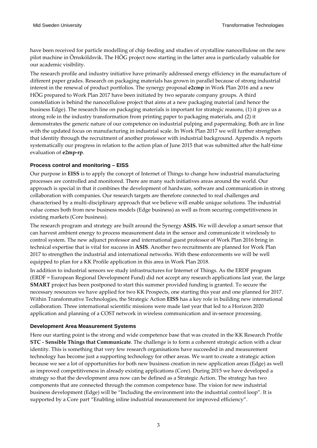have been received for particle modelling of chip feeding and studies of crystalline nanocellulose on the new pilot machine in Örnsköldsvik. The HÖG project now starting in the latter area is particularly valuable for our academic visibility.

The research profile and industry initiative have primarily addressed energy efficiency in the manufacture of different paper grades. Research on packaging materials has grown in parallel because of strong industrial interest in the renewal of product portfolios. The synergy proposal **e2cmp** in Work Plan 2016 and a new HÖG prepared to Work Plan 2017 have been initiated by two separate company groups. A third constellation is behind the nanocellulose project that aims at a new packaging material (and hence the business Edge). The research line on packaging materials is important for strategic reasons, (1) it gives us a strong role in the industry transformation from printing paper to packaging materials, and (2) it demonstrates the generic nature of our competence on industrial pulping and papermaking. Both are in line with the updated focus on manufacturing in industrial scale. In Work Plan 2017 we will further strengthen that identity through the recruitment of another professor with industrial background. Appendix A reports systematically our progress in relation to the action plan of June 2015 that was submitted after the half-time evaluation of **e2mp-rp**.

### <span id="page-6-0"></span>**Process control and monitoring – EISS**

Our purpose in **EISS** is to apply the concept of Internet of Things to change how industrial manufacturing processes are controlled and monitored. There are many such initiatives areas around the world. Our approach is special in that it combines the development of hardware, software and communication in strong collaboration with companies. Our research targets are therefore connected to real challenges and characterised by a multi-disciplinary approach that we believe will enable unique solutions. The industrial value comes both from new business models (Edge business) as well as from securing competitiveness in existing markets (Core business).

The research program and strategy are built around the Synergy **ASIS.** We will develop a smart sensor that can harvest ambient energy to process measurement data in the sensor and communicate it wirelessly to control system. The new adjunct professor and international guest professor of Work Plan 2016 bring in technical expertise that is vital for success in **ASIS**. Another two recruitments are planned for Work Plan 2017 to strengthen the industrial and international networks. With these enforcements we will be well equipped to plan for a KK Profile application in this area in Work Plan 2018.

In addition to industrial sensors we study infrastructures for Internet of Things. As the ERDF program (ERDF = European Regional Development Fund) did not accept any research applications last year, the large **SMART** project has been postponed to start this summer provided funding is granted. To secure the necessary resources we have applied for two KK Prospects, one starting this year and one planned for 2017. Within Transformative Technologies, the Strategic Action **EISS** has a key role in building new international collaboration. Three international scientific missions were made last year that led to a Horizon 2020 application and planning of a COST network in wireless communication and in-sensor processing.

#### <span id="page-6-1"></span>**Development Area Measurement Systems**

Here our starting point is the strong and wide competence base that was created in the KK Research Profile **STC - Sensible Things that Communicate**. The challenge is to form a coherent strategic action with a clear identity. This is something that very few research organisations have succeeded in and measurement technology has become just a supporting technology for other areas. We want to create a strategic action because we see a lot of opportunities for both new business creation in new application areas (Edge) as well as improved competitiveness in already existing applications (Core). During 2015 we have developed a strategy so that the development area now can be defined as a Strategic Action. The strategy has two components that are connected through the common competence base. The vision for new industrial business development (Edge) will be "Including the environment into the industrial control loop". It is supported by a Core part "Enabling inline industrial measurement for improved efficiency".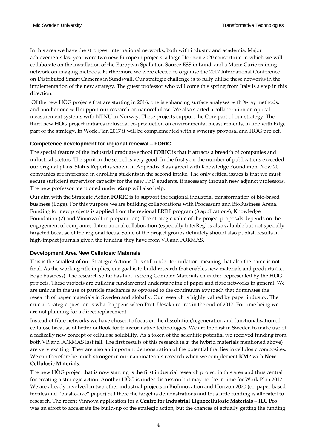In this area we have the strongest international networks, both with industry and academia. Major achievements last year were two new European projects: a large Horizon 2020 consortium in which we will collaborate on the installation of the European Spallation Source ESS in Lund, and a Marie Curie training network on imaging methods. Furthermore we were elected to organise the 2017 International Conference on Distributed Smart Cameras in Sundsvall. Our strategic challenge is to fully utilise these networks in the implementation of the new strategy. The guest professor who will come this spring from Italy is a step in this direction.

Of the new HÖG projects that are starting in 2016, one is enhancing surface analyses with X-ray methods, and another one will support our research on nanocellulose. We also started a collaboration on optical measurement systems with NTNU in Norway. These projects support the Core part of our strategy. The third new HÖG project initiates industrial co-production on environmental measurements, in line with Edge part of the strategy. In Work Plan 2017 it will be complemented with a synergy proposal and HÖG project.

#### <span id="page-7-0"></span>**Competence development for regional renewal – FORIC**

The special feature of the industrial graduate school **FORIC** is that it attracts a breadth of companies and industrial sectors. The spirit in the school is very good. In the first year the number of publications exceeded our original plans. Status Report is shown in Appendix B as agreed with Knowledge Foundation. Now 20 companies are interested in enrolling students in the second intake. The only critical issues is that we must secure sufficient supervisor capacity for the new PhD students, if necessary through new adjunct professors. The new professor mentioned under **e2mp** will also help.

Our aim with the Strategic Action **FORIC** is to support the regional industrial transformation of bio-based business (Edge). For this purpose we are building collaborations with Processum and BioBusiness Arena. Funding for new projects is applied from the regional ERDF program (3 applications), Knowledge Foundation (2) and Vinnova (1 in preparation). The strategic value of the project proposals depends on the engagement of companies. International collaboration (especially InterReg) is also valuable but not specially targeted because of the regional focus. Some of the project groups definitely should also publish results in high-impact journals given the funding they have from VR and FORMAS.

#### <span id="page-7-1"></span>**Development Area New Cellulosic Materials**

This is the smallest of our Strategic Actions. It is still under formulation, meaning that also the name is not final. As the working title implies, our goal is to build research that enables new materials and products (i.e. Edge business). The research so far has had a strong Complex Materials character, represented by the HÖG projects. These projects are building fundamental understanding of paper and fibre networks in general. We are unique in the use of particle mechanics as opposed to the continuum approach that dominates the research of paper materials in Sweden and globally. Our research is highly valued by paper industry. The crucial strategic question is what happens when Prof. Uesaka retires in the end of 2017. For time being we are not planning for a direct replacement.

Instead of fibre networks we have chosen to focus on the dissolution/regeneration and functionalisation of cellulose because of better outlook for transformative technologies. We are the first in Sweden to make use of a radically new concept of cellulose solubility. As a token of the scientific potential we received funding from both VR and FORMAS last fall. The first results of this research (e.g. the hybrid materials mentioned above) are very exciting. They are also an important demonstration of the potential that lies in cellulosic composites. We can therefore be much stronger in our nanomaterials research when we complement **KM2** with **New Cellulosic Materials**.

The new HÖG project that is now starting is the first industrial research project in this area and thus central for creating a strategic action. Another HÖG is under discussion but may not be in time for Work Plan 2017. We are already involved in two other industrial projects in BioInnovation and Horizon 2020 (on paper-based textiles and "plastic-like" paper) but there the target is demonstrations and thus little funding is allocated to research. The recent Vinnova application for a **Centre for Industrial Lignocellulosic Materials – ILC Pro** was an effort to accelerate the build-up of the strategic action, but the chances of actually getting the funding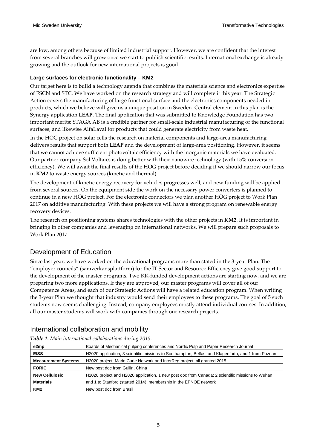are low, among others because of limited industrial support. However, we are confident that the interest from several branches will grow once we start to publish scientific results. International exchange is already growing and the outlook for new international projects is good.

### <span id="page-8-0"></span>**Large surfaces for electronic functionality – KM2**

Our target here is to build a technology agenda that combines the materials science and electronics expertise of FSCN and STC. We have worked on the research strategy and will complete it this year. The Strategic Action covers the manufacturing of large functional surface and the electronics components needed in products, which we believe will give us a unique position in Sweden. Central element in this plan is the Synergy application **LEAP**. The final application that was submitted to Knowledge Foundation has two important merits: STAGA AB is a credible partner for small-scale industrial manufacturing of the functional surfaces, and likewise AlfaLaval for products that could generate electricity from waste heat.

In the HÖG project on solar cells the research on material components and large-area manufacturing delivers results that support both **LEAP** and the development of large-area positioning. However, it seems that we cannot achieve sufficient photovoltaic efficiency with the inorganic materials we have evaluated. Our partner company Sol Voltaics is doing better with their nanowire technology (with 15% conversion efficiency). We will await the final results of the HÖG project before deciding if we should narrow our focus in **KM2** to waste energy sources (kinetic and thermal).

The development of kinetic energy recovery for vehicles progresses well, and new funding will be applied from several sources. On the equipment side the work on the necessary power converters is planned to continue in a new HÖG project. For the electronic connectors we plan another HÖG project to Work Plan 2017 on additive manufacturing. With these projects we will have a strong program on renewable energy recovery devices.

The research on positioning systems shares technologies with the other projects in **KM2**. It is important in bringing in other companies and leveraging on international networks. We will prepare such proposals to Work Plan 2017.

### <span id="page-8-1"></span>Development of Education

Since last year, we have worked on the educational programs more than stated in the 3-year Plan. The "employer councils" (samverkansplattform) for the IT Sector and Resource Efficiency give good support to the development of the master programs. Two KK-funded development actions are starting now, and we are preparing two more applications. If they are approved, our master programs will cover all of our Competence Areas, and each of our Strategic Actions will have a related education program. When writing the 3-year Plan we thought that industry would send their employees to these programs. The goal of 5 such students now seems challenging. Instead, company employees mostly attend individual courses. In addition, all our master students will work with companies through our research projects.

|                            | Table 1. Main international collaborations during 2015.                                             |  |  |  |  |  |  |  |  |
|----------------------------|-----------------------------------------------------------------------------------------------------|--|--|--|--|--|--|--|--|
| e2mp                       | Boards of Mechanical pulping conferences and Nordic Pulp and Paper Research Journal                 |  |  |  |  |  |  |  |  |
| <b>EISS</b>                | H2020 application, 3 scientific missions to Southampton, Belfast and Klagenfurth, and 1 from Poznan |  |  |  |  |  |  |  |  |
| <b>Measurement Systems</b> | H2020 project, Marie Curie Network and InterReg project, all granted 2015                           |  |  |  |  |  |  |  |  |
| <b>FORIC</b>               | New post doc from Guilin, China                                                                     |  |  |  |  |  |  |  |  |
| <b>New Cellulosic</b>      | H2020 project and H2020 application, 1 new post doc from Canada; 2 scientific missions to Wuhan     |  |  |  |  |  |  |  |  |
| <b>Materials</b>           | and 1 to Stanford (started 2014); membership in the EPNOE network                                   |  |  |  |  |  |  |  |  |
| KM <sub>2</sub>            | New post doc from Brasil                                                                            |  |  |  |  |  |  |  |  |

<span id="page-8-2"></span>International collaboration and mobility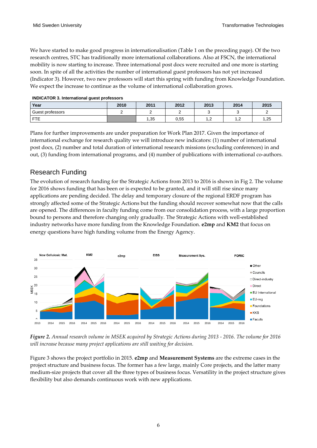We have started to make good progress in internationalisation (Table 1 on the preceding page). Of the two research centres, STC has traditionally more international collaborations. Also at FSCN, the international mobility is now starting to increase. Three international post docs were recruited and one more is starting soon. In spite of all the activities the number of international guest professors has not yet increased (Indicator 3). However, two new professors will start this spring with funding from Knowledge Foundation. We expect the increase to continue as the volume of international collaboration grows.

| Year             | 2012<br>2010<br>2011 |     | 2013 | 2014 | 2015       |     |
|------------------|----------------------|-----|------|------|------------|-----|
| Guest professors |                      |     | _    |      |            | -   |
| <b>FTE</b>       |                      | .35 | 0,55 | . .  | . <u>.</u> | ,25 |

**INDICATOR 3. International guest professors**

Plans for further improvements are under preparation for Work Plan 2017. Given the importance of international exchange for research quality we will introduce new indicators: (1) number of international post docs, (2) number and total duration of international research missions (excluding conferences) in and out, (3) funding from international programs, and (4) number of publications with international co-authors.

### <span id="page-9-0"></span>Research Funding

The evolution of research funding for the Strategic Actions from 2013 to 2016 is shown in Fig 2. The volume for 2016 shows funding that has been or is expected to be granted, and it will still rise since many applications are pending decided. The delay and temporary closure of the regional ERDF program has strongly affected some of the Strategic Actions but the funding should recover somewhat now that the calls are opened. The differences in faculty funding come from our consolidation process, with a large proportion bound to persons and therefore changing only gradually. The Strategic Actions with well-established industry networks have more funding from the Knowledge Foundation. **e2mp** and **KM2** that focus on energy questions have high funding volume from the Energy Agency.



*Figure 2. Annual research volume in MSEK acquired by Strategic Actions during 2013 - 2016. The volume for 2016 will increase because many project applications are still waiting for decision.*

Figure 3 shows the project portfolio in 2015. **e2mp** and **Measurement Systems** are the extreme cases in the project structure and business focus. The former has a few large, mainly Core projects, and the latter many medium-size projects that cover all the three types of business focus. Versatility in the project structure gives flexibility but also demands continuous work with new applications.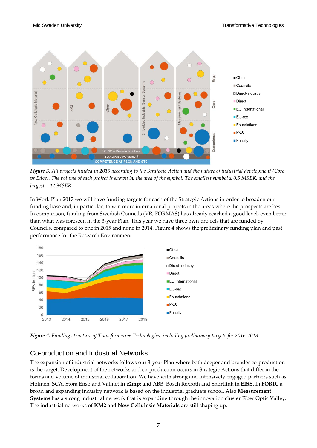

*Figure 3. All projects funded in 2015 according to the Strategic Action and the nature of industrial development (Core vs Edge). The volume of each project is shown by the area of the symbol: The smallest symbol ≤ 0.5 MSEK, and the largest = 12 MSEK.*

In Work Plan 2017 we will have funding targets for each of the Strategic Actions in order to broaden our funding base and, in particular, to win more international projects in the areas where the prospects are best. In comparison, funding from Swedish Councils (VR, FORMAS) has already reached a good level, even better than what was foreseen in the 3-year Plan. This year we have three own projects that are funded by Councils, compared to one in 2015 and none in 2014. Figure 4 shows the preliminary funding plan and past performance for the Research Environment.



*Figure 4. Funding structure of Transformative Technologies, including preliminary targets for 2016-2018.*

### <span id="page-10-0"></span>Co-production and Industrial Networks

The expansion of industrial networks follows our 3-year Plan where both deeper and broader co-production is the target. Development of the networks and co-production occurs in Strategic Actions that differ in the forms and volume of industrial collaboration. We have with strong and intensively engaged partners such as Holmen, SCA, Stora Enso and Valmet in **e2mp**; and ABB, Bosch Rexroth and Shortlink in **EISS.** In **FORIC** a broad and expanding industry network is based on the industrial graduate school. Also **Measurement Systems** has a strong industrial network that is expanding through the innovation cluster Fiber Optic Valley. The industrial networks of **KM2** and **New Cellulosic Materials** are still shaping up.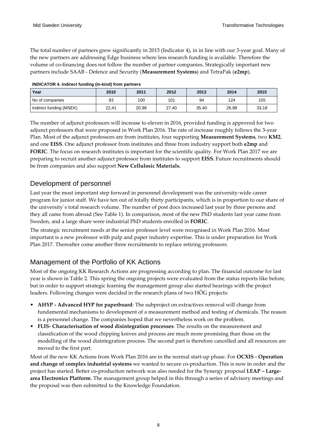The total number of partners grew significantly in 2015 (Indicator 4), in in line with our 3-year goal. Many of the new partners are addressing Edge business where less research funding is available. Therefore the volume of co-financing does not follow the number of partner companies. Strategically important new partners include SAAB - Defence and Security (**Measurement Systems**) and TetraPak (**e2mp**).

| Year                    | 2010  | 2011  | 2012      | 2013  | 2014  | 2015  |
|-------------------------|-------|-------|-----------|-------|-------|-------|
| No of companies         | 93    | 100   | 101<br>94 |       | 124   | 155   |
| Indirect funding (MSEK) | 22,41 | 20,98 | 27,40     | 35,40 | 26,98 | 33,18 |

The number of adjunct professors will increase to eleven in 2016, provided funding is approved for two adjunct professors that were proposed in Work Plan 2016. The rate of increase roughly follows the 3-year Plan. Most of the adjunct professors are from institutes, four supporting **Measurement Systems**, two **KM2**, and one **EISS**. One adjunct professor from institutes and three from industry support both **e2mp** and **FORIC**. The focus on research institutes is important for the scientific quality. For Work Plan 2017 we are preparing to recruit another adjunct professor from institutes to support **EISS.** Future recruitments should be from companies and also support **New Cellulosic Materials.** 

### <span id="page-11-0"></span>Development of personnel

Last year the most important step forward in personnel development was the university-wide career program for junior staff. We have ten out of totally thirty participants, which is in proportion to our share of the university´s total research volume. The number of post docs increased last year by three persons and they all came from abroad (See Table 1). In comparison, most of the new PhD students last year came from Sweden, and a large share were industrial PhD students enrolled in **FORIC**.

The strategic recruitment needs at the senior professor level were recognised in Work Plan 2016. Most important is a new professor with pulp and paper industry expertise. This is under preparation for Work Plan 2017. Thereafter come another three recruitments to replace retiring professors.

### <span id="page-11-1"></span>Management of the Portfolio of KK Actions

Most of the ongoing KK Research Actions are progressing according to plan. The financial outcome for last year is shown in Table 2. This spring the ongoing projects were evaluated from the status reports like before, but in order to support strategic learning the management group also started hearings with the project leaders. Following changes were decided in the research plans of two HÖG projects:

- **AHYP - Advanced HYP for paperboard**: The subproject on extractives removal will change from fundamental mechanisms to development of a measurement method and testing of chemicals. The reason is a personnel change. The companies hoped that we nevertheless work on the problem.
- **FLIS- Characterisation of wood disintegration processes**: The results on the measurement and classification of the wood chipping knives and process are much more promising than those on the modelling of the wood disintegration process. The second part is therefore cancelled and all resources are moved to the first part.

Most of the new KK Actions from Work Plan 2016 are in the normal start-up phase. For **OCXIS - Operation and change of complex industrial systems** we wanted to secure co-production. This is now in order and the project has started. Better co-production network was also needed for the Synergy proposal **LEAP – Largearea Electronics Platform**. The management group helped in this through a series of advisory meetings and the proposal was then submitted to the Knowledge Foundation.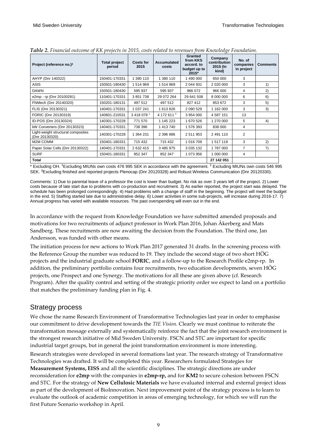| Project (reference no.) <sup>3</sup>                 | <b>Total project</b><br>period | Costs for<br>2015 | Accumulated<br>costs   | <b>Granted</b><br>from KKS<br>accord, to<br>budget up to<br>2015* | Company<br>contribution<br>2015 (In<br>kind) | No. of<br>companies<br>in project | <b>Comments</b> |
|------------------------------------------------------|--------------------------------|-------------------|------------------------|-------------------------------------------------------------------|----------------------------------------------|-----------------------------------|-----------------|
| AHYP (Dnr 140322)                                    | 150401-170331                  | 1 380 110         | 1 380 110              | 1 490 000                                                         | 650 000                                      | 3                                 |                 |
| <b>ASIS</b>                                          | 150501-190430                  | 1514969           | 1514969                | 2 044 931                                                         |                                              | 3                                 | 1)              |
| <b>DAWN</b>                                          | 150501-180430                  | 595 937           | 595 937                | 966 072                                                           | 966 000                                      | 4                                 | 2)              |
| e2mp - rp (Dnr 20100281)                             | 110401-170331                  | 3851738           | 29 072 264             | 29 641 508                                                        | 8 000 000                                    | 6                                 | 6)              |
| FNMech (Dnr 20140320)                                | 150201-180131                  | 497 512           | 497 512                | 827 412                                                           | 853 672                                      | 3                                 | 5)              |
| FLIS (Dnr 20130321)                                  | 140401-170331                  | 1 0 3 7 2 4 1     | 1 613 826              | 2 0 9 0 5 2 9                                                     | 1 162 000                                    | 3                                 | 3)              |
| FORIC (Dnr 20130319)                                 | 140601-210531                  | 34180781          | 4 172 611 <sup>2</sup> | 3954000                                                           | 4 587 151                                    | 13                                |                 |
| ID-POS (Dnr 20130324)                                | 140301-170228                  | 771 570           | 1 145 223              | 1670526                                                           | 1 270 000                                    | 5                                 | 4)              |
| kW Converters (Dnr 20130323)                         | 140401-170331                  | 738 396           | 1413740                | 1576393                                                           | 838 000                                      | 4                                 |                 |
| Light-weight structural composites<br>(Dnr 20130320) | 140301-170228                  | 1 364 231         | 2 396 886              | 2511953                                                           | 2 491 110                                    | 2                                 |                 |
| M <sub>2</sub> M COMM                                | 150401-180331                  | 715 432           | 715 432                | 1 0 1 6 7 0 9                                                     | 1517118                                      | 3                                 | 2)              |
| Paper Solar Cells (Dnr 20130322)                     | 140401-170331                  | 2632415           | 3 485 975              | 3 0 3 5 1 3 2                                                     | 1787000                                      | 7                                 | 7)              |
| <b>SURF</b>                                          | 150401-180331                  | 852 347           | 852 347                | 1 073 956                                                         | 1 000 000                                    | 4                                 |                 |
| <b>Total</b>                                         |                                |                   |                        |                                                                   | 27 142 051                                   |                                   |                 |

*Table 2. Financial outcome of KK projects in 2015, costs related to revenues from Knowledge Foundation.*

\* Excluding OH. 1Excluding MIUNs own costs 476 995 SEK in accordance with the agreement. <sup>2</sup> Excluding MIUNs own costs 546 995 SEK. 3Excluding finished and reported projects Plenocap (Dnr 20120328) and Robust Wireless Communication (Dnr 20120330).

Comments: 1) Due to parental leave of a professor the cost is lower than budget. No risk as over 3 years left of the project. 2) Lower costs because of late start due to problems with co-production and recruitment. 3) As earlier reported, the project start was delayed. The schedule has been prolonged correspondingly. 4) Had problems with a change of staff in the beginning. The project will meet the budget in the end. 5) Staffing started late due to administrative delay. 6) Lower activities in some sub-projects, will increase during 2016-17. 7) Annual progress has varied with available resources. The past overspending will even out in the end.

In accordance with the request from Knowledge Foundation we have submitted amended proposals and motivations for two recruitments of adjunct professor in Work Plan 2016, Johan Åkerberg and Mats Sandberg. These recruitments are now awaiting the decision from the Foundation. The third one, Jan Andersson, was funded with other means.

The initiation process for new actions to Work Plan 2017 generated 31 drafts. In the screening process with the Reference Group the number was reduced to 19. They include the second stage of two short HÖG projects and the industrial graduate school **FORIC**, and a follow-up to the Research Profile e2mp-rp. In addition, the preliminary portfolio contains four recruitments, two education developments, seven HÖG projects, one Prospect and one Synergy. The motivations for all these are given above (cf. Research Program). After the quality control and setting of the strategic priority order we expect to land on a portfolio that matches the preliminary funding plan in Fig. 4.

### <span id="page-12-0"></span>Strategy process

We chose the name Research Environment of Transformative Technologies last year in order to emphasise our commitment to drive development towards the *TIE Vision*. Clearly we must continue to reiterate the transformation message externally and systematically reinforce the fact that the joint research environment is the strongest research initiative of Mid Sweden University. FSCN and STC are important for specific industrial target groups, but in general the joint transformation environment is more interesting.

Research strategies were developed in several formations last year. The research strategy of Transformative Technologies was drafted. It will be completed this year. Researchers formulated Strategies for **Measurement Systems, EISS** and all the scientific disciplines. The strategic directions are under reconsideration for **e2mp** with the companies in **e2mp-rp,** and for **KM2** to secure cohesion between FSCN

and STC. For the strategy of **New Cellulosic Materials** we have evaluated internal and external project ideas as part of the development of BioInnovation. Next improvement point of the strategy process is to learn to evaluate the outlook of academic competition in areas of emerging technology, for which we will run the first Future Scenario workshop in April.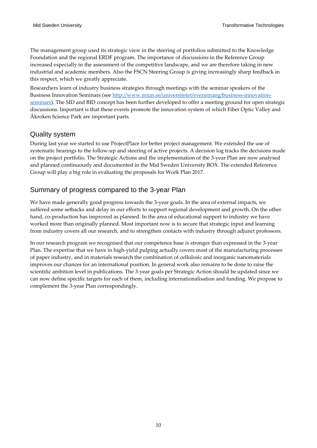The management group used its strategic view in the steering of portfolios submitted to the Knowledge Foundation and the regional ERDF program. The importance of discussions in the Reference Group increased especially in the assessment of the competitive landscape, and we are therefore taking in new industrial and academic members. Also the FSCN Steering Group is giving increasingly sharp feedback in this respect, which we greatly appreciate.

Researchers learn of industry business strategies through meetings with the seminar speakers of the Business Innovation Seminars (see [http://www.miun.se/universitetet/evenemang/business-innovation](http://www.miun.se/universitetet/evenemang/business-innovation-seminars)[seminars\)](http://www.miun.se/universitetet/evenemang/business-innovation-seminars). The SID and BID concept has been further developed to offer a meeting ground for open strategic discussions. Important is that these events promote the innovation system of which Fiber Optic Valley and Åkroken Science Park are important parts.

### <span id="page-13-0"></span>Quality system

During last year we started to use ProjectPlace for better project management. We extended the use of systematic hearings to the follow-up and steering of active projects. A decision log tracks the decisions made on the project portfolio. The Strategic Actions and the implementation of the 3-year Plan are now analysed and planned continuously and documented in the Mid Sweden University BOX. The extended Reference Group will play a big role in evaluating the proposals for Work Plan 2017.

### <span id="page-13-1"></span>Summary of progress compared to the 3-year Plan

We have made generally good progress towards the 3-year goals. In the area of external impacts, we suffered some setbacks and delay in our efforts to support regional development and growth. On the other hand, co-production has improved as planned. In the area of educational support to industry we have worked more than originally planned. Most important now is to secure that strategic input and learning from industry covers all our research, and to strengthen contacts with industry through adjunct professors.

In our research program we recognised that our competence base is stronger than expressed in the 3-year Plan. The expertise that we have in high-yield pulping actually covers most of the manufacturing processes of paper industry, and in materials research the combination of cellulosic and inorganic nanomaterials improves our chances for an international position. In general work also remains to be done to raise the scientific ambition level in publications. The 3-year goals per Strategic Action should be updated since we can now define specific targets for each of them, including internationalisation and funding. We propose to complement the 3-year Plan correspondingly.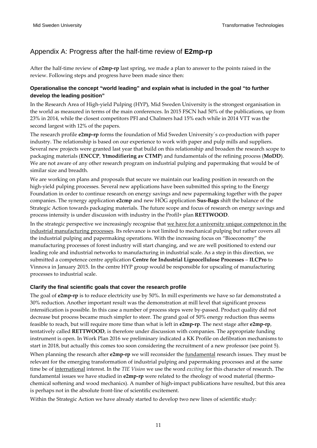### <span id="page-14-0"></span>Appendix A: Progress after the half-time review of **E2mp-rp**

After the half-time review of **e2mp-rp** last spring, we made a plan to answer to the points raised in the review. Following steps and progress have been made since then:

### **Operationalise the concept "world leading" and explain what is included in the goal "to further develop the leading position"**

In the Research Area of High-yield Pulping (HYP), Mid Sweden University is the strongest organisation in the world as measured in terms of the main conferences. In 2015 FSCN had 50% of the publications, up from 23% in 2014, while the closest competitors PFI and Chalmers had 15% each while in 2014 VTT was the second largest with 12% of the papers.

The research profile **e2mp-rp** forms the foundation of Mid Sweden University´s co-production with paper industry. The relationship is based on our experience to work with paper and pulp mills and suppliers. Several new projects were granted last year that build on this relationship and broaden the research scope to packaging materials (**ENCCP**, **Ytmodifiering av CTMP**) and fundamentals of the refining process (**MoDD**). We are not aware of any other research program on industrial pulping and papermaking that would be of similar size and breadth.

We are working on plans and proposals that secure we maintain our leading position in research on the high-yield pulping processes. Several new applications have been submitted this spring to the Energy Foundation in order to continue research on energy savings and new papermaking together with the paper companies. The synergy application **e2cmp** and new HÖG application **Sus-Bags** shift the balance of the Strategic Action towards packaging materials. The future scope and focus of research on energy savings and process intensity is under discussion with industry in the Profil+ plan **RETTWOOD**.

In the strategic perspective we increasingly recognise that we have for a university unique competence in the industrial manufacturing processes. Its relevance is not limited to mechanical pulping but rather covers all the industrial pulping and papermaking operations. With the increasing focus on "Bioeconomy" the manufacturing processes of forest industry will start changing, and we are well positioned to extend our leading role and industrial networks to manufacturing in industrial scale. As a step in this direction, we submitted a competence centre application **Centre for Industrial Lignocellulose Processes** – **ILCPro** to Vinnova in January 2015. In the centre HYP group would be responsible for upscaling of manufacturing processes to industrial scale.

### **Clarify the final scientific goals that cover the research profile**

The goal of **e2mp-rp** is to reduce electricity use by 50%. In mill experiments we have so far demonstrated a 30% reduction. Another important result was the demonstration at mill level that significant process intensification is possible. In this case a number of process steps were by-passed. Product quality did not decrease but process became much simpler to steer. The grand goal of 50% energy reduction thus seems feasible to reach, but will require more time than what is left in **e2mp-rp**. The next stage after **e2mp-rp**, tentatively called **RETTWOOD**, is therefore under discussion with companies. The appropriate funding instrument is open. In Work Plan 2016 we preliminary indicated a KK Profile on defibration mechanisms to start in 2018, but actually this comes too soon considering the recruitment of a new professor (see point 5).

When planning the research after **e2mp-rp** we will reconsider the fundamental research issues. They must be relevant for the emerging transformation of industrial pulping and papermaking processes and at the same time be of international interest. In the *TIE Vision* we use the word *exciting* for this character of research. The fundamental issues we have studied in **e2mp-rp** were related to the rheology of wood material (thermochemical softening and wood mechanics). A number of high-impact publications have resulted, but this area is perhaps not in the absolute front-line of scientific excitement.

Within the Strategic Action we have already started to develop two new lines of scientific study: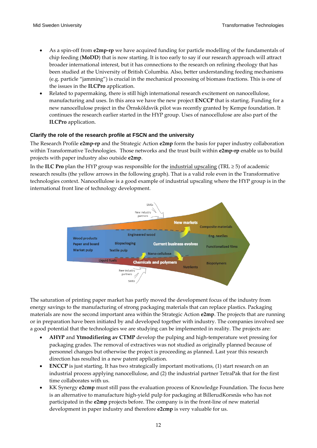- As a spin-off from **e2mp-rp** we have acquired funding for particle modelling of the fundamentals of chip feeding (**MoDD**) that is now starting. It is too early to say if our research approach will attract broader international interest, but it has connections to the research on refining rheology that has been studied at the University of British Columbia. Also, better understanding feeding mechanisms (e.g. particle "jamming") is crucial in the mechanical processing of biomass fractions. This is one of the issues in the **ILCPro** application.
- Related to papermaking, there is still high international research excitement on nanocellulose, manufacturing and uses. In this area we have the new project **ENCCP** that is starting. Funding for a new nanocellulose project in the Örnsköldsvik pilot was recently granted by Kempe foundation. It continues the research earlier started in the HYP group. Uses of nanocellulose are also part of the **ILCPro** application.

### **Clarify the role of the research profile at FSCN and the university**

The Research Profile **e2mp-rp** and the Strategic Action **e2mp** form the basis for paper industry collaboration within Transformative Technologies. Those networks and the trust built within **e2mp-rp** enable us to build projects with paper industry also outside **e2mp**.

In the **ILC Pro** plan the HYP group was responsible for the industrial upscaling (TRL ≥ 5) of academic research results (the yellow arrows in the following graph). That is a valid role even in the Transformative technologies context. Nanocellulose is a good example of industrial upscaling where the HYP group is in the international front line of technology development.



The saturation of printing paper market has partly moved the development focus of the industry from energy savings to the manufacturing of strong packaging materials that can replace plastics. Packaging materials are now the second important area within the Strategic Action **e2mp**. The projects that are running or in preparation have been initiated by and developed together with industry. The companies involved see a good potential that the technologies we are studying can be implemented in reality. The projects are:

- **AHYP** and **Ytmodifiering av CTMP** develop the pulping and high-temperature wet pressing for packaging grades. The removal of extractives was not studied as originally planned because of personnel changes but otherwise the project is proceeding as planned. Last year this research direction has resulted in a new patent application.
- **ENCCP** is just starting. It has two strategically important motivations, (1) start research on an industrial process applying nanocellulose, and (2) the industrial partner TetraPak that for the first time collaborates with us.
- KK Synergy **e2cmp** must still pass the evaluation process of Knowledge Foundation. The focus here is an alternative to manufacture high-yield pulp for packaging at BillerudKorsnäs who has not participated in the **e2mp** projects before. The company is in the front-line of new material development in paper industry and therefore **e2cmp** is very valuable for us.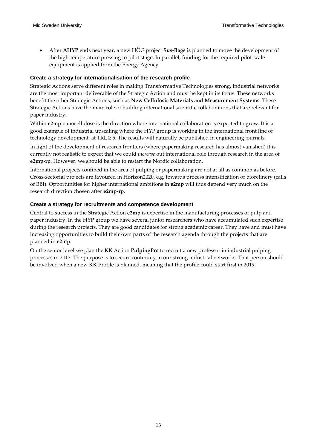• After **AHYP** ends next year, a new HÖG project **Sus-Bags** is planned to move the development of the high-temperature pressing to pilot stage. In parallel, funding for the required pilot-scale equipment is applied from the Energy Agency.

### **Create a strategy for internationalisation of the research profile**

Strategic Actions serve different roles in making Transformative Technologies strong. Industrial networks are the most important deliverable of the Strategic Action and must be kept in its focus. These networks benefit the other Strategic Actions, such as **New Cellulosic Materials** and **Measurement Systems**. These Strategic Actions have the main role of building international scientific collaborations that are relevant for paper industry.

Within **e2mp** nanocellulose is the direction where international collaboration is expected to grow. It is a good example of industrial upscaling where the HYP group is working in the international front line of technology development, at TRL  $\geq$  5. The results will naturally be published in engineering journals.

In light of the development of research frontiers (where papermaking research has almost vanished) it is currently not realistic to expect that we could *increase* out international role through research in the area of **e2mp-rp**. However, we should be able to restart the Nordic collaboration.

International projects confined in the area of pulping or papermaking are not at all as common as before. Cross-sectorial projects are favoured in Horizon2020, e.g. towards process intensification or biorefinery (calls of BBI). Opportunities for higher international ambitions in **e2mp** will thus depend very much on the research direction chosen after **e2mp-rp**.

### **Create a strategy for recruitments and competence development**

Central to success in the Strategic Action **e2mp** is expertise in the manufacturing processes of pulp and paper industry. In the HYP group we have several junior researchers who have accumulated such expertise during the research projects. They are good candidates for strong academic career. They have and must have increasing opportunities to build their own parts of the research agenda through the projects that are planned in **e2mp**.

On the senior level we plan the KK Action **PulpingPro** to recruit a new professor in industrial pulping processes in 2017. The purpose is to secure continuity in our strong industrial networks. That person should be involved when a new KK Profile is planned, meaning that the profile could start first in 2019.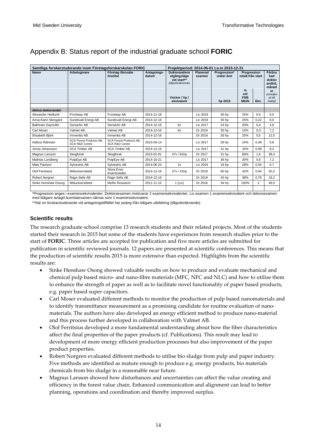|                        |                                                             | Samtliga forskarstuderande inom Företagsforskarskolan FORIC |                      |                                                                                                        |                           | Projektperiod: 2014-06-01 t.o.m 2015-12-31 |                                                                                               |                |                                                                                    |
|------------------------|-------------------------------------------------------------|-------------------------------------------------------------|----------------------|--------------------------------------------------------------------------------------------------------|---------------------------|--------------------------------------------|-----------------------------------------------------------------------------------------------|----------------|------------------------------------------------------------------------------------|
| <b>Namn</b>            | Arbetsgivare                                                | Företag /lärosäte<br>/institut                              | Antagnings-<br>datum | <b>Doktorandens</b><br>utgångsläge<br>vid start**<br>(tillgodoräknande)<br>Veckor / hp /<br>ekvivalent | <b>Planerad</b><br>examen | Progression*<br>under året<br>hp 2015      | Progression<br>totalt från start<br>$\frac{9}{6}$<br>enl<br><b>FDB</b><br><b>MIUN</b><br>Ekv. |                | Förbru<br>kad<br>doktor<br>andtid.<br>månad<br>er<br>(omräkn<br>at till<br>heltid) |
|                        |                                                             |                                                             |                      |                                                                                                        |                           |                                            |                                                                                               |                |                                                                                    |
| Aktiva doktorander     |                                                             |                                                             |                      |                                                                                                        |                           |                                            |                                                                                               |                |                                                                                    |
| Alexander Hedlund      | Frontway AB                                                 | Frontway AB                                                 | 2014-11-18           |                                                                                                        | Lic 2018                  | 30 hp                                      | 25%                                                                                           | 0,5            | 6.0                                                                                |
| Anna-Karin Stengard    | Sundsvall Energi AB                                         | Sundsvall Energi AB                                         | 2014-12-16           |                                                                                                        | Lic 2018                  | 30 hp                                      | 25%                                                                                           | 0,22           | 6.0                                                                                |
| Bakhram Gaynullin      | SenseAir AB                                                 | SenseAir AB                                                 | 2014-12-16           | 6v                                                                                                     | Lic 2017                  | 24 hp                                      | 20%                                                                                           | 0.4            | 4,8                                                                                |
| Carl Moser             | Valmet AB                                                   | Valmet AB                                                   | 2014-12-16           | 6v                                                                                                     | Dr 2019                   | 35 hp                                      | 15%                                                                                           | 0.3            | 7.2                                                                                |
| Elisabeth Biörk        | Innventia AB                                                | Innventia AB                                                | 2014-12-16           |                                                                                                        | Dr 2019                   | 30 hp                                      | 25%                                                                                           | 0.5            | 12.0                                                                               |
| Hafizur Rahman         | <b>SCA Forest Products AB.</b><br><b>SCA R&amp;D Centre</b> | <b>SCA Forest Products AB.</b><br><b>SCA R&amp;D Centre</b> | 2015-04-14           |                                                                                                        | Lic 2017                  | 29 hp                                      | 24%                                                                                           | 0.48           | 5,8                                                                                |
| Jonas Johansson        | <b>SCA Timber AB</b>                                        | <b>SCA Timber AB</b>                                        | 2014-12-16           |                                                                                                        | Lic 2017                  | 41 hp                                      | 34%                                                                                           | 0.68           | 8.2                                                                                |
| Magnus Larsson         | Skogforsk                                                   | Skogforsk                                                   | 2015-01-01           | 47y / 81hp                                                                                             | Dr 2017                   | 31 hp                                      | 80%                                                                                           | 1.6            | 38.4                                                                               |
| Mathias Lundberg       | PulpEye AB                                                  | PulpEye AB                                                  | 2014-10-21           |                                                                                                        | Lic 2017                  | 36 hp                                      | 30%                                                                                           | 0.6            | 7.2                                                                                |
| Mats Paulson           | Sylvestris AB                                               | Svivestris AB                                               | 2014-06-24           | 2v                                                                                                     | Lic 2016                  | 18 hp                                      | 28%                                                                                           | 0,56           | 6.7                                                                                |
| <b>Olof Ferritsius</b> | Mittuniversitetet                                           | Stora Enso<br>Kvarnsveden                                   | 2014-12-16           | 27v / 41hp                                                                                             | Dr 2019                   | 60 hp                                      | 42%                                                                                           | 0,84           | 20,2                                                                               |
| Robert Norgren         | Ragn-Sells AB                                               | Ragn-Sells AB                                               | 2014-12-16           |                                                                                                        | Dr 2019                   | 45 hp                                      | 38%                                                                                           | 0.76           | 18.2                                                                               |
| Sinke Henshaw Osong    | Mittuniversitetet                                           | MoRe Research                                               | 2011-11-15           | $1$ (Lic)                                                                                              | Dr 2016                   | 34 hp                                      | 100%                                                                                          | $\overline{2}$ | 48,0                                                                               |
|                        |                                                             |                                                             |                      |                                                                                                        |                           |                                            |                                                                                               |                |                                                                                    |

### <span id="page-18-0"></span>Appendix B: Status report of the industrial graduate school **FORIC**

\*Progression anges i examensekvivalenter. Doktorsexamen motsvarar 2 examensekvivalenter, Lic.examen 1 examensekvivalent och dokorsexamen med tidigare avlagd licentiatexamen räknas som 1 examensekvivalent.

\*\*När en forskarstuderande vid antagningstillfället har poäng från tidigare utbildning (tillgodoräknande).

### **Scientific results**

The research graduate school comprise 13 research students and their related projects. Most of the students started their research in 2015 but some of the students have experiences from research studies prior to the start of **FORIC**. Three articles are accepted for publication and five more articles are submitted for publication in scientific reviewed journals. 12 papers are presented at scientific conferences. This means that the production of scientific results 2015 is more extensive than expected. Highlights from the scientific results are:

- Sinke Henshaw Osong showed valuable results on how to produce and evaluate mechanical and chemical pulp based micro- and nano-fibre materials (MFC, NFC and NLC) and how to utilise them to enhance the strength of paper as well as to facilitate novel functionality of paper based products, e.g. paper based super capacitors.
- Carl Moser evaluated different methods to monitor the production of pulp based nanomaterials and to identify transmittance measurement as a promising candidate for routine evaluation of nanomaterials. The authors have also developed an energy efficient method to produce nano-material and this process further developed in collaboration with Valmet AB.
- Olof Ferritsius developed a more fundamental understanding about how the fiber characteristics affect the final properties of the paper products (cf. Publications). This result may lead to development of more energy efficient production processes but also improvement of the paper product properties.
- Robert Norgren evaluated different methods to utilise bio sludge from pulp and paper industry. Five methods are identified as mature enough to produce e.g. energy products, bio materials chemicals from bio sludge in a reasonable near future.
- Magnus Larsson showed how disturbances and uncertainties can affect the value creating and efficiency in the forest value chain. Enhanced communication and alignment can lead to better planning, operations and coordination and thereby improved surplus.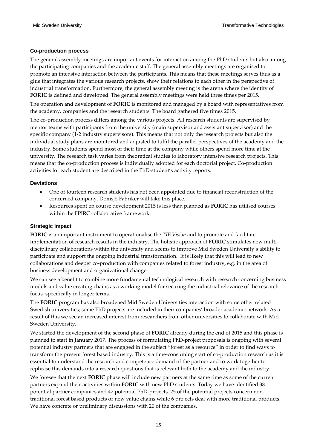### **Co-production process**

The general assembly meetings are important events for interaction among the PhD students but also among the participating companies and the academic staff. The general assembly meetings are organised to promote an intensive interaction between the participants. This means that these meetings serves thus as a glue that integrates the various research projects, show their relations to each other in the perspective of industrial transformation. Furthermore, the general assembly meeting is the arena where the identity of **FORIC** is defined and developed. The general assembly meetings were held three times per 2015.

The operation and development of **FORIC** is monitored and managed by a board with representatives from the academy, companies and the research students. The board gathered five times 2015.

The co-production process differs among the various projects. All research students are supervised by mentor teams with participants from the university (main supervisor and assistant supervisor) and the specific company (1-2 industry supervisors). This means that not only the research projects but also the individual study plans are monitored and adjusted to fulfil the parallel perspectives of the academy and the industry. Some students spend most of their time at the company while others spend more time at the university. The research task varies from theoretical studies to laboratory intensive research projects. This means that the co-production process is individually adopted for each doctorial project. Co-production activities for each student are described in the PhD-student's activity reports.

### **Deviations**

- One of fourteen research students has not been appointed due to financial reconstruction of the concerned company. Domsjö Fabriker will take this place.
- Resources spent on course development 2015 is less than planned as **FORIC** has utilised courses within the FPIRC collaborative framework.

### **Strategic impact**

**FORIC** is an important instrument to operationalise the *TIE Vision* and to promote and facilitate implementation of research results in the industry. The holistic approach of **FORIC** stimulates new multidisciplinary collaborations within the university and seems to improve Mid Sweden University's ability to participate and support the ongoing industrial transformation. It is likely that this will lead to new collaborations and deeper co-production with companies related to forest industry, e.g. in the area of business development and organizational change.

We can see a benefit to combine more fundamental technological research with research concerning business models and value creating chains as a working model for securing the industrial relevance of the research focus, specifically in longer terms.

The **FORIC** program has also broadened Mid Sweden Universities interaction with some other related Swedish universities; some PhD projects are included in their companies' broader academic network. As a result of this we see an increased interest from researchers from other universities to collaborate with Mid Sweden University.

We started the development of the second phase of **FORIC** already during the end of 2015 and this phase is planned to start in January 2017. The process of formulating PhD-project proposals is ongoing with several potential industry partners that are engaged in the subject "forest as a resource" in order to find ways to transform the present forest based industry. This is a time-consuming start of co-production research as it is essential to understand the research and competence demand of the partner and to work together to rephrase this demands into a research questions that is relevant both to the academy and the industry.

We foresee that the next **FORIC** phase will include new partners at the same time as some of the current partners expand their activities within **FORIC** with new PhD students. Today we have identified 38 potential partner companies and 47 potential PhD-projects. 25 of the potential projects concern nontraditional forest based products or new value chains while 6 projects deal with more traditional products. We have concrete or preliminary discussions with 20 of the companies.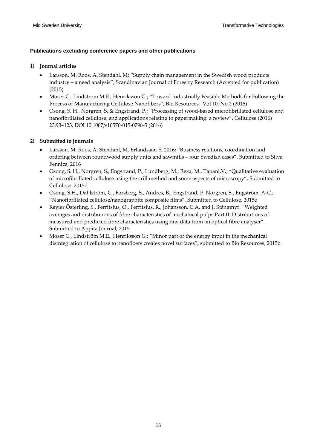### **Publications excluding conference papers and other publications**

### **1) Journal articles**

- Larsson, M. Roos, A. Stendahl, M; "Supply chain management in the Swedish wood products industry – a need analysis", Scandinavian Journal of Forestry Research (Accepted for publication) (2015)
- Moser C., Lindström M.E., Henriksson G.; "Toward Industrially Feasible Methods for Following the Process of Manufacturing Cellulose Nanofibers", Bio Resources, Vol 10, No 2 (2015)
- Osong, S. H., Norgren, S. & Engstrand, P.; "Processing of wood-based microfibrillated cellulose and nanofibrillated cellulose, and applications relating to papermaking: a review". Cellulose (2016) 23:93–123, DOI 10.1007/s10570-015-0798-5 (2016)

### **2) Submitted to journals**

- Larsson, M. Roos, A. Stendahl, M. Erlandsson E. 2016; "Business relations, coordination and ordering between roundwood supply units and sawmills – four Swedish cases". Submitted to Silva Fennica, 2016
- Osong, S. H., Norgren, S., Engstrand, P., Lundberg, M., Reza, M., Tapani,V.; "Qualitative evaluation of microfibrillated cellulose using the crill method and some aspects of microscopy", Submitted to Cellulose. 2015d
- Osong, S.H., Dahlström, C., Forsberg, S., Andres, B., Engstrand, P. Norgren, S., Engström, A-C.; "Nanofibrillated cellulose/nanographite composite films", Submitted to Cellulose. 2015e
- Reyier Österling, S., Ferritsius, O., Ferritsius, R., Johansson, C.A. and J. Stångmyr: "Weighted averages and distributions of fibre characteristics of mechanical pulps Part II: Distributions of measured and predicted fibre characteristics using raw data from an optical fibre analyser", Submitted to Appita Journal, 2015
- Moser C., Lindström M.E., Henriksson G.; "Minor part of the energy input in the mechanical disintegration of cellulose to nanofibers creates novel surfaces", submitted to Bio Resources, 2015b